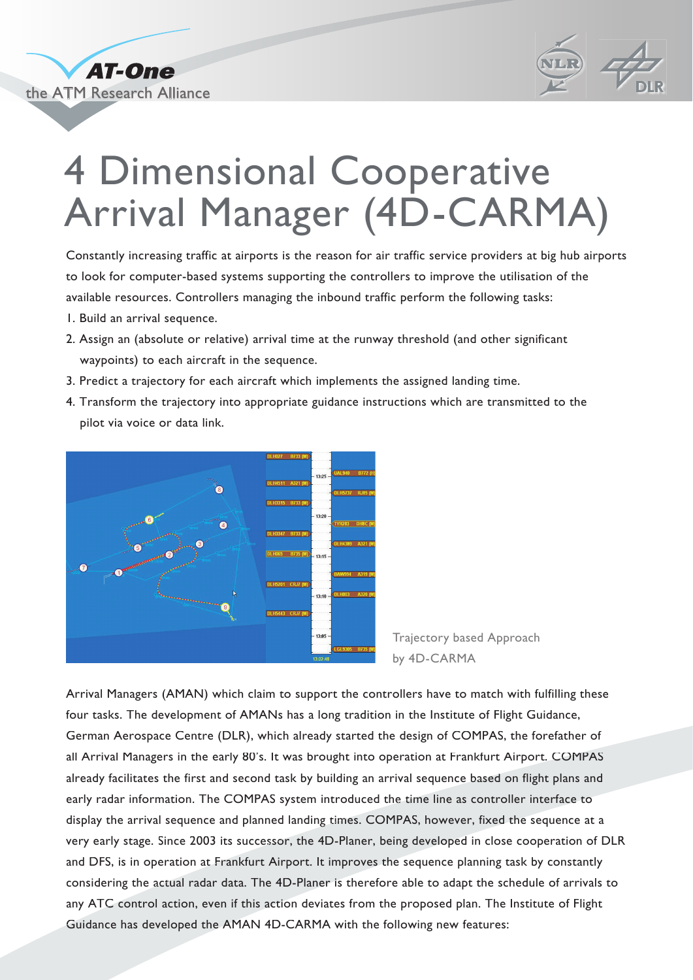



## 4 Dimensional Cooperative Arrival Manager (4D-CARMA)

Constantly increasing traffic at airports is the reason for air traffic service providers at big hub airports to look for computer-based systems supporting the controllers to improve the utilisation of the available resources. Controllers managing the inbound traffic perform the following tasks:

- 1. Build an arrival sequence.
- 2. Assign an (absolute or relative) arrival time at the runway threshold (and other significant waypoints) to each aircraft in the sequence.
- 3. Predict a trajectory for each aircraft which implements the assigned landing time.
- 4. Transform the trajectory into appropriate guidance instructions which are transmitted to the pilot via voice or data link.



Trajectory based Approach by 4D-CARMA

Arrival Managers (AMAN) which claim to support the controllers have to match with fulfilling these four tasks. The development of AMANs has a long tradition in the Institute of Flight Guidance, German Aerospace Centre (DLR), which already started the design of COMPAS, the forefather of all Arrival Managers in the early 80's. It was brought into operation at Frankfurt Airport. COMPAS already facilitates the first and second task by building an arrival sequence based on flight plans and early radar information. The COMPAS system introduced the time line as controller interface to display the arrival sequence and planned landing times. COMPAS, however, fixed the sequence at a very early stage. Since 2003 its successor, the 4D-Planer, being developed in close cooperation of DLR and DFS, is in operation at Frankfurt Airport. It improves the sequence planning task by constantly considering the actual radar data. The 4D-Planer is therefore able to adapt the schedule of arrivals to any ATC control action, even if this action deviates from the proposed plan. The Institute of Flight Guidance has developed the AMAN 4D-CARMA with the following new features: